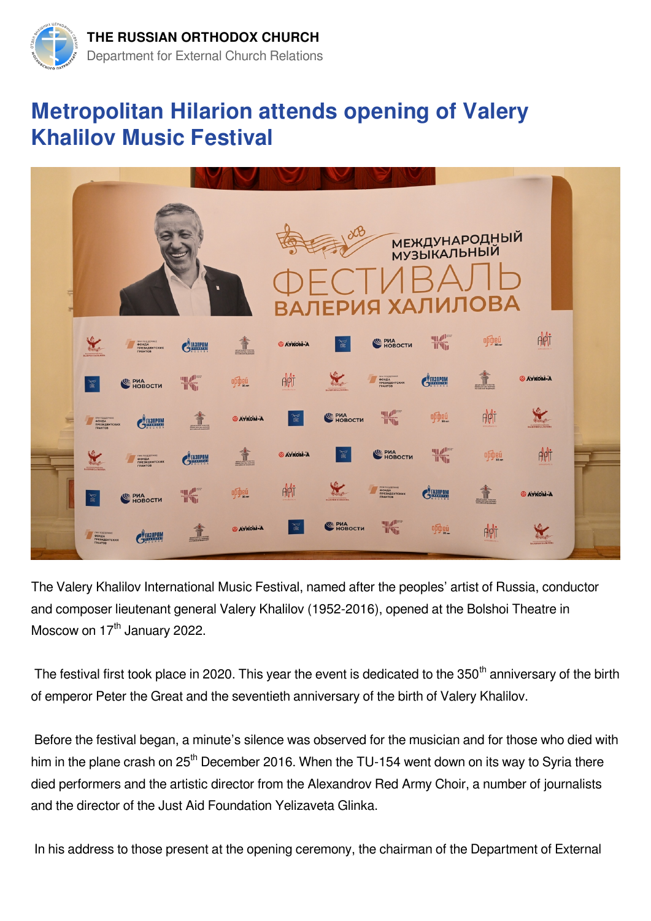

## **Metropolitan Hilarion attends opening of Valery Khalilov Music Festival**



The Valery Khalilov International Music Festival, named after the peoples' artist of Russia, conductor and composer lieutenant general Valery Khalilov (1952-2016), opened at the Bolshoi Theatre in Moscow on 17<sup>th</sup> January 2022.

The festival first took place in 2020. This year the event is dedicated to the 350<sup>th</sup> anniversary of the birth of emperor Peter the Great and the seventieth anniversary of the birth of Valery Khalilov.

 Before the festival began, a minute's silence was observed for the musician and for those who died with him in the plane crash on 25<sup>th</sup> December 2016. When the TU-154 went down on its way to Syria there died performers and the artistic director from the Alexandrov Red Army Choir, a number of journalists and the director of the Just Aid Foundation Yelizaveta Glinka.

In his address to those present at the opening ceremony, the chairman of the Department of External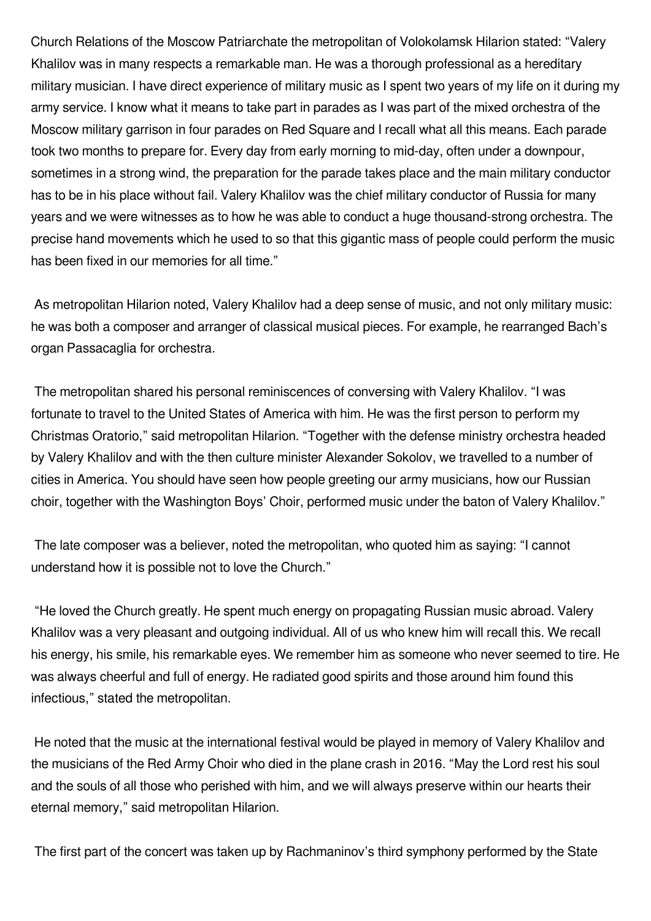Church Relations of the Moscow Patriarchate the metropolitan of Volokolamsk Hilarion stated: "Valery Khalilov was in many respects a remarkable man. He was a thorough professional as a hereditary military musician. I have direct experience of military music as I spent two years of my life on it during my army service. I know what it means to take part in parades as I was part of the mixed orchestra of the Moscow military garrison in four parades on Red Square and I recall what all this means. Each parade took two months to prepare for. Every day from early morning to mid-day, often under a downpour, sometimes in a strong wind, the preparation for the parade takes place and the main military conductor has to be in his place without fail. Valery Khalilov was the chief military conductor of Russia for many years and we were witnesses as to how he was able to conduct a huge thousand-strong orchestra. The precise hand movements which he used to so that this gigantic mass of people could perform the music has been fixed in our memories for all time."

 As metropolitan Hilarion noted, Valery Khalilov had a deep sense of music, and not only military music: he was both a composer and arranger of classical musical pieces. For example, he rearranged Bach's organ Passacaglia for orchestra.

 The metropolitan shared his personal reminiscences of conversing with Valery Khalilov. "I was fortunate to travel to the United States of America with him. He was the first person to perform my Christmas Oratorio," said metropolitan Hilarion. "Together with the defense ministry orchestra headed by Valery Khalilov and with the then culture minister Alexander Sokolov, we travelled to a number of cities in America. You should have seen how people greeting our army musicians, how our Russian choir, together with the Washington Boys' Choir, performed music under the baton of Valery Khalilov."

 The late composer was a believer, noted the metropolitan, who quoted him as saying: "I cannot understand how it is possible not to love the Church."

 "He loved the Church greatly. He spent much energy on propagating Russian music abroad. Valery Khalilov was a very pleasant and outgoing individual. All of us who knew him will recall this. We recall his energy, his smile, his remarkable eyes. We remember him as someone who never seemed to tire. He was always cheerful and full of energy. He radiated good spirits and those around him found this infectious," stated the metropolitan.

 He noted that the music at the international festival would be played in memory of Valery Khalilov and the musicians of the Red Army Choir who died in the plane crash in 2016. "May the Lord rest his soul and the souls of all those who perished with him, and we will always preserve within our hearts their eternal memory," said metropolitan Hilarion.

The first part of the concert was taken up by Rachmaninov's third symphony performed by the State